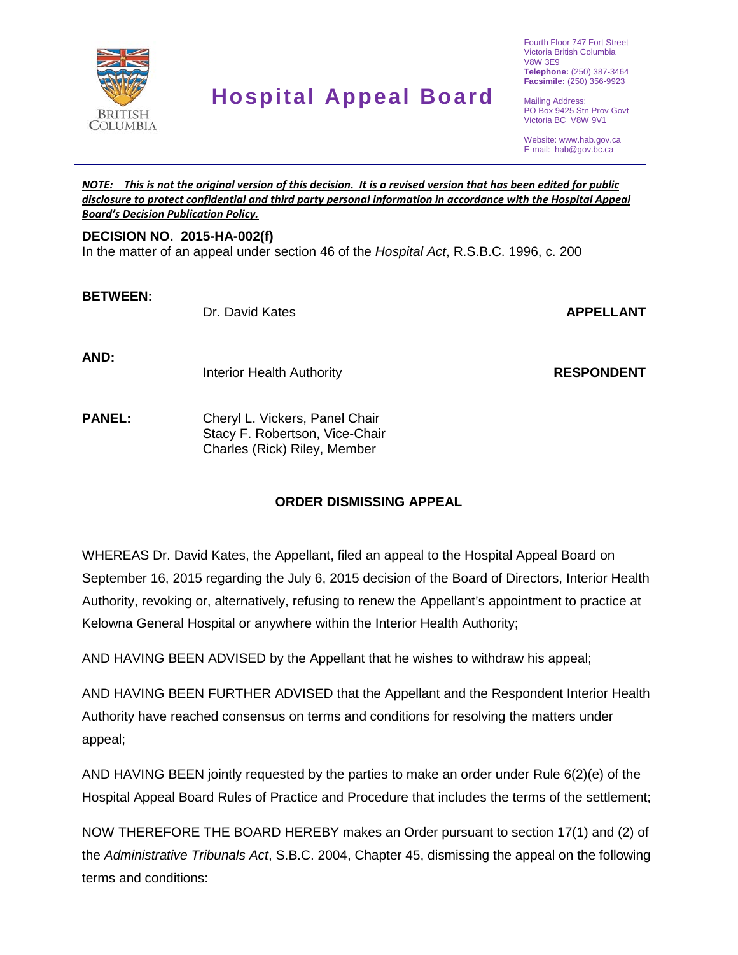

# **Hospital Appeal Board**

Fourth Floor 747 Fort Street Victoria British Columbia V8W 3E9 **Telephone:** (250) 387-3464 **Facsimile:** (250) 356-9923

Mailing Address: PO Box 9425 Stn Prov Govt Victoria BC V8W 9V1

Website: www.hab.gov.ca E-mail: hab@gov.bc.ca

#### *NOTE: This is not the original version of this decision. It is a revised version that has been edited for public disclosure to protect confidential and third party personal information in accordance with the Hospital Appeal Board's Decision Publication Policy.*

### **DECISION NO. 2015-HA-002(f)**

In the matter of an appeal under section 46 of the *Hospital Act*, R.S.B.C. 1996, c. 200

#### **BETWEEN:**

Dr. David Kates **APPELLANT**

**AND:**

Interior Health Authority

**RESPONDENT**

**PANEL:** Cheryl L. Vickers, Panel Chair Stacy F. Robertson, Vice-Chair Charles (Rick) Riley, Member

## **ORDER DISMISSING APPEAL**

WHEREAS Dr. David Kates, the Appellant, filed an appeal to the Hospital Appeal Board on September 16, 2015 regarding the July 6, 2015 decision of the Board of Directors, Interior Health Authority, revoking or, alternatively, refusing to renew the Appellant's appointment to practice at Kelowna General Hospital or anywhere within the Interior Health Authority;

AND HAVING BEEN ADVISED by the Appellant that he wishes to withdraw his appeal;

AND HAVING BEEN FURTHER ADVISED that the Appellant and the Respondent Interior Health Authority have reached consensus on terms and conditions for resolving the matters under appeal;

AND HAVING BEEN jointly requested by the parties to make an order under Rule 6(2)(e) of the Hospital Appeal Board Rules of Practice and Procedure that includes the terms of the settlement;

NOW THEREFORE THE BOARD HEREBY makes an Order pursuant to section 17(1) and (2) of the *Administrative Tribunals Act*, S.B.C. 2004, Chapter 45, dismissing the appeal on the following terms and conditions: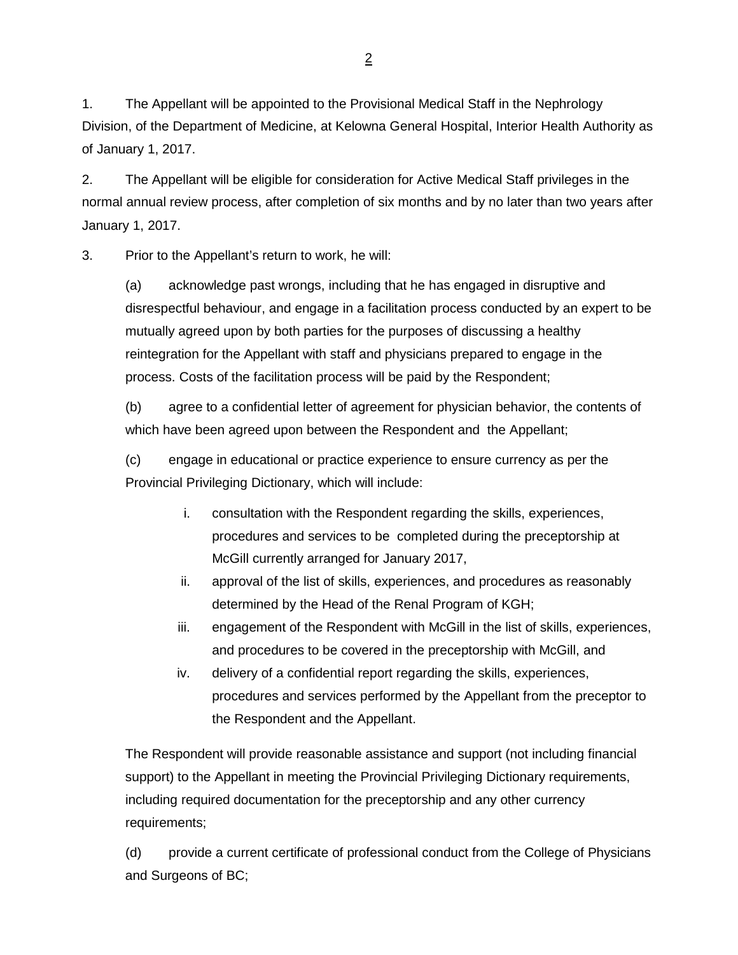1. The Appellant will be appointed to the Provisional Medical Staff in the Nephrology Division, of the Department of Medicine, at Kelowna General Hospital, Interior Health Authority as of January 1, 2017.

2. The Appellant will be eligible for consideration for Active Medical Staff privileges in the normal annual review process, after completion of six months and by no later than two years after January 1, 2017.

3. Prior to the Appellant's return to work, he will:

(a) acknowledge past wrongs, including that he has engaged in disruptive and disrespectful behaviour, and engage in a facilitation process conducted by an expert to be mutually agreed upon by both parties for the purposes of discussing a healthy reintegration for the Appellant with staff and physicians prepared to engage in the process. Costs of the facilitation process will be paid by the Respondent;

(b) agree to a confidential letter of agreement for physician behavior, the contents of which have been agreed upon between the Respondent and the Appellant;

(c) engage in educational or practice experience to ensure currency as per the Provincial Privileging Dictionary, which will include:

- i. consultation with the Respondent regarding the skills, experiences, procedures and services to be completed during the preceptorship at McGill currently arranged for January 2017,
- ii. approval of the list of skills, experiences, and procedures as reasonably determined by the Head of the Renal Program of KGH;
- iii. engagement of the Respondent with McGill in the list of skills, experiences, and procedures to be covered in the preceptorship with McGill, and
- iv. delivery of a confidential report regarding the skills, experiences, procedures and services performed by the Appellant from the preceptor to the Respondent and the Appellant.

The Respondent will provide reasonable assistance and support (not including financial support) to the Appellant in meeting the Provincial Privileging Dictionary requirements, including required documentation for the preceptorship and any other currency requirements;

(d) provide a current certificate of professional conduct from the College of Physicians and Surgeons of BC;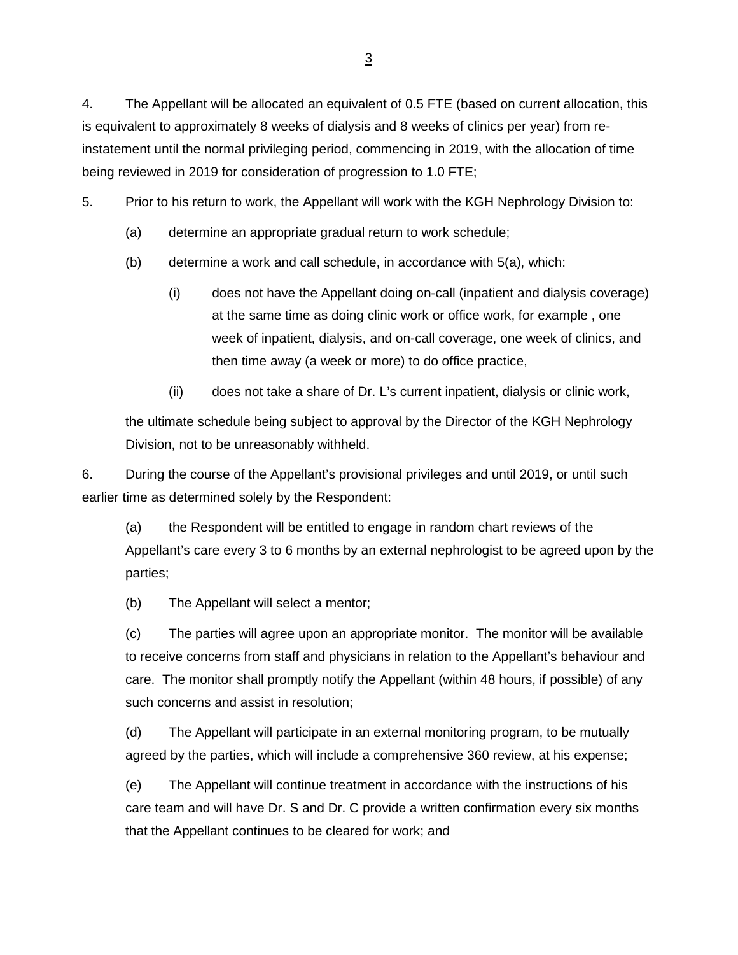4. The Appellant will be allocated an equivalent of 0.5 FTE (based on current allocation, this is equivalent to approximately 8 weeks of dialysis and 8 weeks of clinics per year) from reinstatement until the normal privileging period, commencing in 2019, with the allocation of time being reviewed in 2019 for consideration of progression to 1.0 FTE;

5. Prior to his return to work, the Appellant will work with the KGH Nephrology Division to:

- (a) determine an appropriate gradual return to work schedule;
- (b) determine a work and call schedule, in accordance with 5(a), which:
	- (i) does not have the Appellant doing on-call (inpatient and dialysis coverage) at the same time as doing clinic work or office work, for example , one week of inpatient, dialysis, and on-call coverage, one week of clinics, and then time away (a week or more) to do office practice,
	- (ii) does not take a share of Dr. L's current inpatient, dialysis or clinic work,

the ultimate schedule being subject to approval by the Director of the KGH Nephrology Division, not to be unreasonably withheld.

6. During the course of the Appellant's provisional privileges and until 2019, or until such earlier time as determined solely by the Respondent:

(a) the Respondent will be entitled to engage in random chart reviews of the Appellant's care every 3 to 6 months by an external nephrologist to be agreed upon by the parties;

(b) The Appellant will select a mentor;

(c) The parties will agree upon an appropriate monitor. The monitor will be available to receive concerns from staff and physicians in relation to the Appellant's behaviour and care. The monitor shall promptly notify the Appellant (within 48 hours, if possible) of any such concerns and assist in resolution;

(d) The Appellant will participate in an external monitoring program, to be mutually agreed by the parties, which will include a comprehensive 360 review, at his expense;

(e) The Appellant will continue treatment in accordance with the instructions of his care team and will have Dr. S and Dr. C provide a written confirmation every six months that the Appellant continues to be cleared for work; and